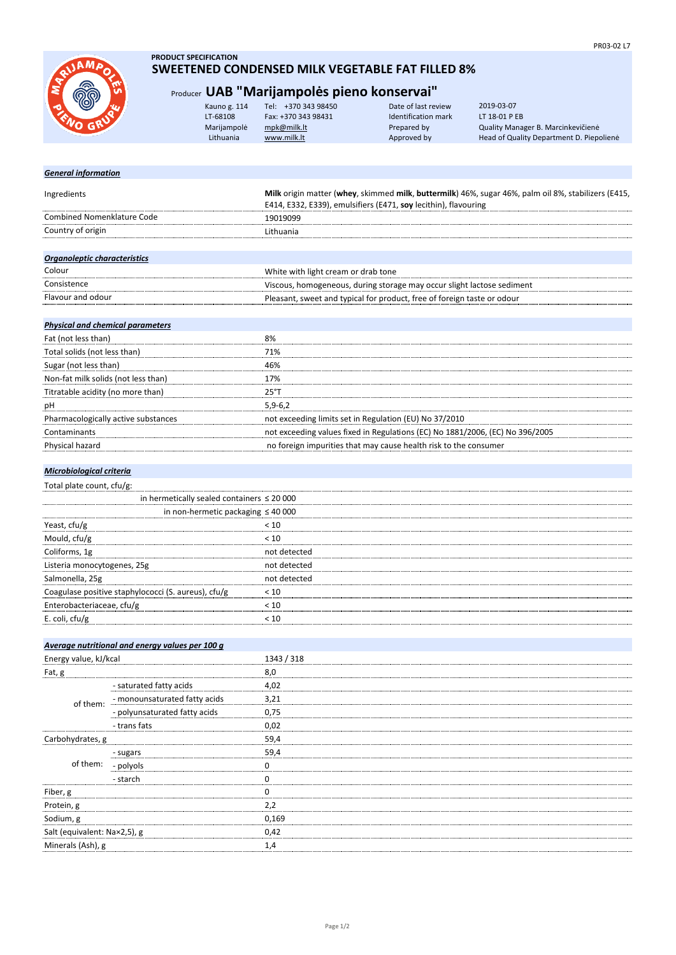

## **PRODUCT SPECIFICATION SWEETENED CONDENSED MILK VEGETABLE FAT FILLED 8%**

## Producer **UAB "Marijampolės pieno konservai"**

| RUSH | Kauno g. 114 | Tel: +370 343 98450 | Date of last review | 2019-03-07                               |
|------|--------------|---------------------|---------------------|------------------------------------------|
|      | LT-68108     | Fax: +370 343 98431 | Identification mark | LT 18-01 P EB                            |
|      | Marijampolė  | mpk@milk.lt         | Prepared by         | Quality Manager B. Marcinkevičienė       |
|      | Lithuania    | www.milk.lt         | Approved by         | Head of Quality Department D. Piepoliene |
|      |              |                     |                     |                                          |

| <b>General information</b>                     |                                                                                                                                                                        |
|------------------------------------------------|------------------------------------------------------------------------------------------------------------------------------------------------------------------------|
| Ingredients                                    | Milk origin matter (whey, skimmed milk, buttermilk) 46%, sugar 46%, palm oil 8%, stabilizers (E415,<br>E414, E332, E339), emulsifiers (E471, soy lecithin), flavouring |
| <b>Combined Nomenklature Code</b>              | 19019099                                                                                                                                                               |
| Country of origin                              | Lithuania                                                                                                                                                              |
|                                                |                                                                                                                                                                        |
| Organoleptic characteristics                   |                                                                                                                                                                        |
| Colour                                         | White with light cream or drab tone                                                                                                                                    |
| Consistence                                    | Viscous, homogeneous, during storage may occur slight lactose sediment                                                                                                 |
| Flavour and odour                              | Pleasant, sweet and typical for product, free of foreign taste or odour                                                                                                |
|                                                |                                                                                                                                                                        |
| <b>Physical and chemical parameters</b>        |                                                                                                                                                                        |
| Fat (not less than)                            | 8%                                                                                                                                                                     |
| Total solids (not less than)                   | 71%                                                                                                                                                                    |
| Sugar (not less than)                          | 46%                                                                                                                                                                    |
| Non-fat milk solids (not less than)            | 17%                                                                                                                                                                    |
| Titratable acidity (no more than)              | 25°T                                                                                                                                                                   |
| рH                                             | $5,9-6,2$                                                                                                                                                              |
| Pharmacologically active substances            | not exceeding limits set in Regulation (EU) No 37/2010                                                                                                                 |
| Contaminants                                   | not exceeding values fixed in Regulations (EC) No 1881/2006, (EC) No 396/2005                                                                                          |
| Physical hazard                                | no foreign impurities that may cause health risk to the consumer                                                                                                       |
|                                                |                                                                                                                                                                        |
| Microbiological criteria                       |                                                                                                                                                                        |
| Total plate count, cfu/g:                      |                                                                                                                                                                        |
| in hermetically sealed containers $\leq 20000$ |                                                                                                                                                                        |
|                                                | in non-hermetic packaging $\leq 40000$                                                                                                                                 |
| Yeast, cfu/g                                   | < 10                                                                                                                                                                   |
| Mould, cfu/g                                   | < 10                                                                                                                                                                   |

| 100010, 01015                                       | ``           |
|-----------------------------------------------------|--------------|
| Coliforms, 1g                                       | not detected |
| Listeria monocytogenes, 25g                         | not detected |
| Salmonella, 25g                                     | not detected |
| Coagulase positive staphylococci (S. aureus), cfu/g | < 10         |
| Enterobacteriaceae, cfu/g                           |              |
| E. coli, cfu/g                                      |              |
|                                                     |              |